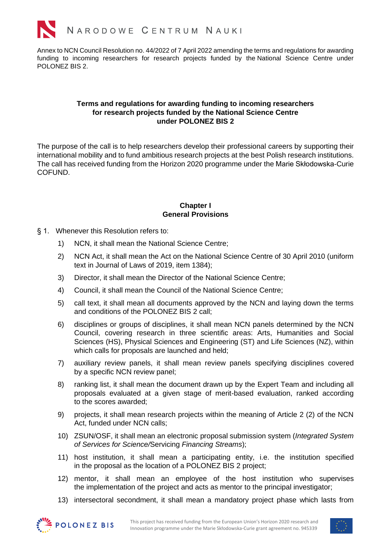

Annex to NCN Council Resolution no. 44/2022 of 7 April 2022 amending the terms and regulations for awarding funding to incoming researchers for research projects funded by the National Science Centre under POLONEZ BIS 2.

### **Terms and regulations for awarding funding to incoming researchers for research projects funded by the National Science Centre under POLONEZ BIS 2**

The purpose of the call is to help researchers develop their professional careers by supporting their international mobility and to fund ambitious research projects at the best Polish research institutions. The call has received funding from the Horizon 2020 programme under the Marie Skłodowska-Curie COFUND.

### **Chapter I General Provisions**

- § 1. Whenever this Resolution refers to:
	- 1) NCN, it shall mean the National Science Centre;
	- 2) NCN Act, it shall mean the Act on the National Science Centre of 30 April 2010 (uniform text in Journal of Laws of 2019, item 1384);
	- 3) Director, it shall mean the Director of the National Science Centre;
	- 4) Council, it shall mean the Council of the National Science Centre;
	- 5) call text, it shall mean all documents approved by the NCN and laying down the terms and conditions of the POLONEZ BIS 2 call;
	- 6) disciplines or groups of disciplines, it shall mean NCN panels determined by the NCN Council, covering research in three scientific areas: Arts, Humanities and Social Sciences (HS), Physical Sciences and Engineering (ST) and Life Sciences (NZ), within which calls for proposals are launched and held;
	- 7) auxiliary review panels, it shall mean review panels specifying disciplines covered by a specific NCN review panel;
	- 8) ranking list, it shall mean the document drawn up by the Expert Team and including all proposals evaluated at a given stage of merit-based evaluation, ranked according to the scores awarded;
	- 9) projects, it shall mean research projects within the meaning of Article 2 (2) of the NCN Act, funded under NCN calls;
	- 10) ZSUN/OSF, it shall mean an electronic proposal submission system (*Integrated System of Services for Science/*Servicing *Financing Streams*);
	- 11) host institution, it shall mean a participating entity, i.e. the institution specified in the proposal as the location of a POLONEZ BIS 2 project;
	- 12) mentor, it shall mean an employee of the host institution who supervises the implementation of the project and acts as mentor to the principal investigator;
	- 13) intersectoral secondment, it shall mean a mandatory project phase which lasts from



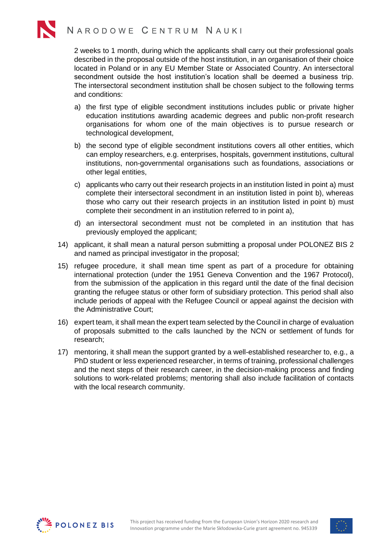2 weeks to 1 month, during which the applicants shall carry out their professional goals described in the proposal outside of the host institution, in an organisation of their choice located in Poland or in any EU Member State or Associated Country. An intersectoral secondment outside the host institution's location shall be deemed a business trip. The intersectoral secondment institution shall be chosen subject to the following terms and conditions:

- a) the first type of eligible secondment institutions includes public or private higher education institutions awarding academic degrees and public non-profit research organisations for whom one of the main objectives is to pursue research or technological development,
- b) the second type of eligible secondment institutions covers all other entities, which can employ researchers, e.g. enterprises, hospitals, government institutions, cultural institutions, non-governmental organisations such as foundations, associations or other legal entities,
- c) applicants who carry out their research projects in an institution listed in point a) must complete their intersectoral secondment in an institution listed in point b), whereas those who carry out their research projects in an institution listed in point b) must complete their secondment in an institution referred to in point a),
- d) an intersectoral secondment must not be completed in an institution that has previously employed the applicant;
- 14) applicant, it shall mean a natural person submitting a proposal under POLONEZ BIS 2 and named as principal investigator in the proposal;
- 15) refugee procedure, it shall mean time spent as part of a procedure for obtaining international protection (under the 1951 Geneva Convention and the 1967 Protocol), from the submission of the application in this regard until the date of the final decision granting the refugee status or other form of subsidiary protection. This period shall also include periods of appeal with the Refugee Council or appeal against the decision with the Administrative Court;
- 16) expert team, it shall mean the expert team selected by the Council in charge of evaluation of proposals submitted to the calls launched by the NCN or settlement of funds for research;
- 17) mentoring, it shall mean the support granted by a well-established researcher to, e.g., a PhD student or less experienced researcher, in terms of training, professional challenges and the next steps of their research career, in the decision-making process and finding solutions to work-related problems; mentoring shall also include facilitation of contacts with the local research community.



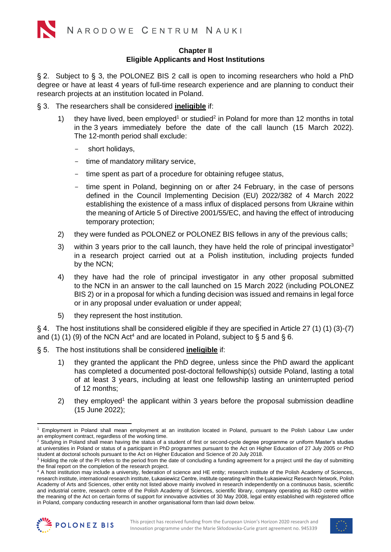# <span id="page-2-2"></span>**Chapter II Eligible Applicants and Host Institutions**

§ 2. Subject to [§ 3,](#page-2-0) the POLONEZ BIS 2 call is open to incoming researchers who hold a PhD degree or have at least 4 years of full-time research experience and are planning to conduct their research projects at an institution located in Poland.

- <span id="page-2-0"></span>§ 3. The researchers shall be considered **ineligible** if:
	- 1) they have lived, been employed<sup>1</sup> or studied<sup>2</sup> in Poland for more than 12 months in total in the 3 years immediately before the date of the call launch (15 March 2022). The 12-month period shall exclude:
		- short holidays,
		- time of mandatory military service,
		- time spent as part of a procedure for obtaining refugee status,
		- time spent in Poland, beginning on or after 24 February, in the case of persons defined in the Council Implementing Decision (EU) 2022/382 of 4 March 2022 establishing the existence of a mass influx of displaced persons from Ukraine within the meaning of Article 5 of Directive 2001/55/EC, and having the effect of introducing temporary protection;
	- 2) they were funded as POLONEZ or POLONEZ BIS fellows in any of the previous calls;
	- 3) within 3 years prior to the call launch, they have held the role of principal investigator<sup>3</sup> in a research project carried out at a Polish institution, including projects funded by the NCN;
	- 4) they have had the role of principal investigator in any other proposal submitted to the NCN in an answer to the call launched on 15 March 2022 (including POLONEZ BIS 2) or in a proposal for which a funding decision was issued and remains in legal force or in any proposal under evaluation or under appeal;
	- 5) they represent the host institution.

§ 4. The host institutions shall be considered eligible if they are specified in Article 27 (1) (1) (3)-(7) and (1) (1) (9) of the NCN Act<sup>4</sup> and are located in Poland, subject to [§ 5](#page-2-1) and [§ 6.](#page-3-0)

- <span id="page-2-1"></span>§ 5. The host institutions shall be considered **ineligible** if:
	- 1) they granted the applicant the PhD degree, unless since the PhD award the applicant has completed a documented post-doctoral fellowship(s) outside Poland, lasting a total of at least 3 years, including at least one fellowship lasting an uninterrupted period of 12 months;
	- 2) they employed<sup>[1](#page-2-2)</sup> the applicant within 3 years before the proposal submission deadline (15 June 2022);

<sup>4</sup> A host institution may include a university, federation of science and HE entity; research institute of the Polish Academy of Sciences, research institute, international research institute, Łukasiewicz Centre, institute operating within the Łukasiewicz Research Network, Polish Academy of Arts and Sciences, other entity not listed above mainly involved in research independently on a continuous basis, scientific and industrial centre, research centre of the Polish Academy of Sciences, scientific library, company operating as R&D centre within the meaning of the Act on certain forms of support for innovative activities of 30 May 2008, legal entity established with registered office in Poland, company conducting research in another organisational form than laid down below.





<sup>1</sup> Employment in Poland shall mean employment at an institution located in Poland, pursuant to the Polish Labour Law under an employment contract, regardless of the working time.

<sup>&</sup>lt;sup>2</sup> Studying in Poland shall mean having the status of a student of first or second-cycle degree programme or uniform Master's studies at universities in Poland or status of a participant in PhD programmes pursuant to the Act on Higher Education of 27 July 2005 or PhD student at doctoral schools pursuant to the Act on Higher Education and Science of 20 July 2018.

<sup>&</sup>lt;sup>3</sup> Holding the role of the PI refers to the period from the date of concluding a funding agreement for a project until the day of submitting the final report on the completion of the research project.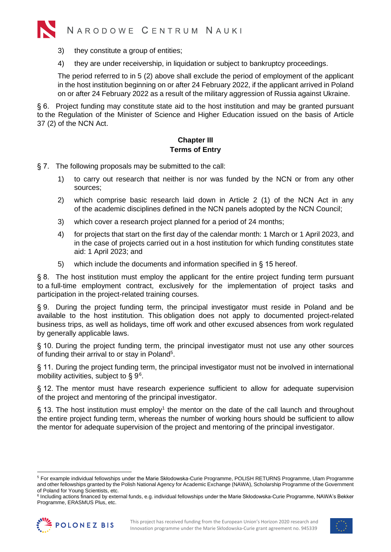

- 3) they constitute a group of entities;
- 4) they are under receivership, in liquidation or subject to bankruptcy proceedings.

The period referred to in 5 (2) above shall exclude the period of employment of the applicant in the host institution beginning on or after 24 February 2022, if the applicant arrived in Poland on or after 24 February 2022 as a result of the military aggression of Russia against Ukraine.

<span id="page-3-0"></span>§ 6. Project funding may constitute state aid to the host institution and may be granted pursuant to the Regulation of the Minister of Science and Higher Education issued on the basis of Article 37 (2) of the NCN Act.

# **Chapter III Terms of Entry**

- § 7. The following proposals may be submitted to the call:
	- 1) to carry out research that neither is nor was funded by the NCN or from any other sources;
	- 2) which comprise basic research laid down in Article 2 (1) of the NCN Act in any of the academic disciplines defined in the NCN panels adopted by the NCN Council;
	- 3) which cover a research project planned for a period of 24 months;
	- 4) for projects that start on the first day of the calendar month: 1 March or 1 April 2023, and in the case of projects carried out in a host institution for which funding constitutes state aid: 1 April 2023; and
	- 5) which include the documents and information specified in [§ 15](#page-4-0) hereof.

§ 8. The host institution must employ the applicant for the entire project funding term pursuant to a full-time employment contract, exclusively for the implementation of project tasks and participation in the project-related training courses.

<span id="page-3-1"></span>§ 9. During the project funding term, the principal investigator must reside in Poland and be available to the host institution. This obligation does not apply to documented project-related business trips, as well as holidays, time off work and other excused absences from work regulated by generally applicable laws.

§ 10. During the project funding term, the principal investigator must not use any other sources of funding their arrival to or stay in Poland<sup>5</sup>.

§ 11. During the project funding term, the principal investigator must not be involved in international mobility activities, subject to [§ 9](#page-3-1)<sup>6</sup>.

§ 12. The mentor must have research experience sufficient to allow for adequate supervision of the project and mentoring of the principal investigator.

§ [1](#page-2-2)3. The host institution must employ<sup>1</sup> the mentor on the date of the call launch and throughout the entire project funding term, whereas the number of working hours should be sufficient to allow the mentor for adequate supervision of the project and mentoring of the principal investigator.

<sup>6</sup> Including actions financed by external funds, e.g. individual fellowships under the Marie Skłodowska-Curie Programme, NAWA's Bekker Programme, ERASMUS Plus, etc.





<sup>5</sup> For example individual fellowships under the Marie Skłodowska-Curie Programme, POLISH RETURNS Programme, Ulam Programme and other fellowships granted by the Polish National Agency for Academic Exchange (NAWA), Scholarship Programme of the Government of Poland for Young Scientists, etc.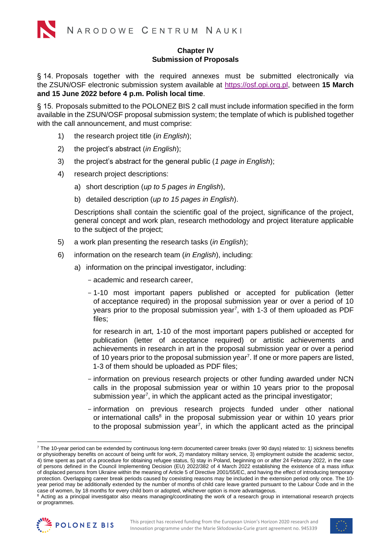# **Chapter IV Submission of Proposals**

§ 14. Proposals together with the required annexes must be submitted electronically via the ZSUN/OSF electronic submission system available at [https://osf.opi.org.pl,](https://osf.opi.org.pl/app/) between **15 March and 15 June 2022 before 4 p.m. Polish local time**.

<span id="page-4-0"></span>§ 15. Proposals submitted to the POLONEZ BIS 2 call must include information specified in the form available in the ZSUN/OSF proposal submission system; the template of which is published together with the call announcement, and must comprise:

- 1) the research project title (*in English*);
- 2) the project's abstract (*in English*);
- 3) the project's abstract for the general public (*1 page in English*);
- 4) research project descriptions:
	- a) short description (*up to 5 pages in English*),
	- b) detailed description (*up to 15 pages in English*).

Descriptions shall contain the scientific goal of the project, significance of the project, general concept and work plan, research methodology and project literature applicable to the subject of the project;

- 5) a work plan presenting the research tasks (*in English*);
- 6) information on the research team (*in English*), including:
	- a) information on the principal investigator, including:
		- academic and research career,
		- 1-10 most important papers published or accepted for publication (letter of acceptance required) in the proposal submission year or over a period of 10 years prior to the proposal submission year<sup>7</sup>, with 1-3 of them uploaded as PDF files;

<span id="page-4-1"></span>for research in art, 1-10 of the most important papers published or accepted for publication (letter of acceptance required) or artistic achievements and achievements in research in art in the proposal submission year or over a period of 10 years prior to the proposal submission year<sup>[7](#page-4-1)</sup>. If one or more papers are listed, 1-3 of them should be uploaded as PDF files;

- information on previous research projects or other funding awarded under NCN calls in the proposal submission year or within 10 years prior to the proposal submission year<sup>[7](#page-4-1)</sup>, in which the applicant acted as the principal investigator;
- <span id="page-4-2"></span>- information on previous research projects funded under other national or international calls<sup>8</sup> in the proposal submission year or within 10 years prior to the proposal submission year<sup>7</sup>[,](#page-4-1) in which the applicant acted as the principal

<sup>&</sup>lt;sup>8</sup> Acting as a principal investigator also means managing/coordinating the work of a research group in international research projects or programmes.





<sup>&</sup>lt;sup>7</sup> The 10-year period can be extended by continuous long-term documented career breaks (over 90 days) related to: 1) sickness benefits or physiotherapy benefits on account of being unfit for work, 2) mandatory military service, 3) employment outside the academic sector, 4) time spent as part of a procedure for obtaining refugee status, 5) stay in Poland, beginning on or after 24 February 2022, in the case of persons defined in the Council Implementing Decision (EU) 2022/382 of 4 March 2022 establishing the existence of a mass influx of displaced persons from Ukraine within the meaning of Article 5 of Directive 2001/55/EC, and having the effect of introducing temporary protection. Overlapping career break periods caused by coexisting reasons may be included in the extension period only once. The 10 year period may be additionally extended by the number of months of child care leave granted pursuant to the Labour Code and in the case of women, by 18 months for every child born or adopted, whichever option is more advantageous.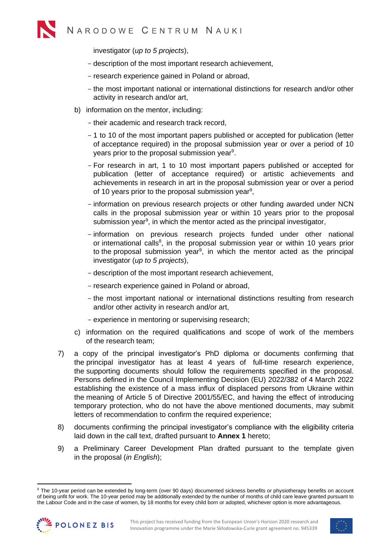investigator (*up to 5 projects*),

- description of the most important research achievement,
- research experience gained in Poland or abroad,
- <span id="page-5-0"></span>- the most important national or international distinctions for research and/or other activity in research and/or art,
- b) information on the mentor, including:
	- their academic and research track record,
	- 1 to 10 of the most important papers published or accepted for publication (letter of acceptance required) in the proposal submission year or over a period of 10 years prior to the proposal submission year<sup>9</sup>.
	- For research in art, 1 to 10 most important papers published or accepted for publication (letter of acceptance required) or artistic achievements and achievements in research in art in the proposal submission year or over a period of 10 years prior to the proposal submission year<sup>[9](#page-5-0)</sup>,
	- information on previous research projects or other funding awarded under NCN calls in the proposal submission year or within 10 years prior to the proposal submission year<sup>[9](#page-5-0)</sup>, in which the mentor acted as the principal investigator,
	- information on previous research projects funded under other national or international calls<sup>[8](#page-4-2)</sup>, in the proposal submission year or within 10 years prior to the proposal submission year<sup>9</sup>[,](#page-5-0) in which the mentor acted as the principal investigator (*up to 5 projects*),
	- description of the most important research achievement,
	- research experience gained in Poland or abroad,
	- the most important national or international distinctions resulting from research and/or other activity in research and/or art,
	- experience in mentoring or supervising research;
- c) information on the required qualifications and scope of work of the members of the research team;
- 7) a copy of the principal investigator's PhD diploma or documents confirming that the principal investigator has at least 4 years of full-time research experience, the supporting documents should follow the requirements specified in the proposal. Persons defined in the Council Implementing Decision (EU) 2022/382 of 4 March 2022 establishing the existence of a mass influx of displaced persons from Ukraine within the meaning of Article 5 of Directive 2001/55/EC, and having the effect of introducing temporary protection, who do not have the above mentioned documents, may submit letters of recommendation to confirm the required experience;
- 8) documents confirming the principal investigator's compliance with the eligibility criteria laid down in the call text, drafted pursuant to **Annex 1** hereto;
- 9) a Preliminary Career Development Plan drafted pursuant to the template given in the proposal (*in English*);

<sup>&</sup>lt;sup>9</sup> The 10-year period can be extended by long-term (over 90 days) documented sickness benefits or physiotherapy benefits on account of being unfit for work. The 10-year period may be additionally extended by the number of months of child care leave granted pursuant to the Labour Code and in the case of women, by 18 months for every child born or adopted, whichever option is more advantageous.



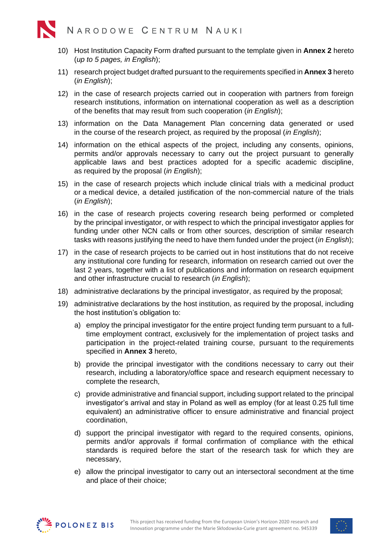- 10) Host Institution Capacity Form drafted pursuant to the template given in **Annex 2** hereto (*up to 5 pages, in English*);
- 11) research project budget drafted pursuant to the requirements specified in **Annex 3** hereto (*in English*);
- 12) in the case of research projects carried out in cooperation with partners from foreign research institutions, information on international cooperation as well as a description of the benefits that may result from such cooperation (*in English*);
- 13) information on the Data Management Plan concerning data generated or used in the course of the research project, as required by the proposal (*in English*);
- 14) information on the ethical aspects of the project, including any consents, opinions, permits and/or approvals necessary to carry out the project pursuant to generally applicable laws and best practices adopted for a specific academic discipline, as required by the proposal (*in English*);
- 15) in the case of research projects which include clinical trials with a medicinal product or a medical device, a detailed justification of the non-commercial nature of the trials (*in English*);
- 16) in the case of research projects covering research being performed or completed by the principal investigator, or with respect to which the principal investigator applies for funding under other NCN calls or from other sources, description of similar research tasks with reasons justifying the need to have them funded under the project (*in English*);
- 17) in the case of research projects to be carried out in host institutions that do not receive any institutional core funding for research, information on research carried out over the last 2 years, together with a list of publications and information on research equipment and other infrastructure crucial to research (*in English*);
- 18) administrative declarations by the principal investigator, as required by the proposal;
- 19) administrative declarations by the host institution, as required by the proposal, including the host institution's obligation to:
	- a) employ the principal investigator for the entire project funding term pursuant to a fulltime employment contract, exclusively for the implementation of project tasks and participation in the project-related training course, pursuant to the requirements specified in **Annex 3** hereto,
	- b) provide the principal investigator with the conditions necessary to carry out their research, including a laboratory/office space and research equipment necessary to complete the research,
	- c) provide administrative and financial support, including support related to the principal investigator's arrival and stay in Poland as well as employ (for at least 0.25 full time equivalent) an administrative officer to ensure administrative and financial project coordination,
	- d) support the principal investigator with regard to the required consents, opinions, permits and/or approvals if formal confirmation of compliance with the ethical standards is required before the start of the research task for which they are necessary,
	- e) allow the principal investigator to carry out an intersectoral secondment at the time and place of their choice;



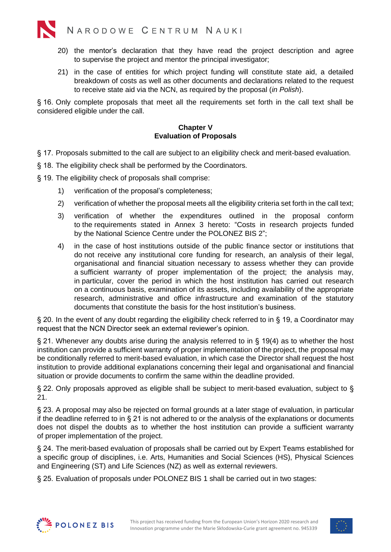

- 20) the mentor's declaration that they have read the project description and agree to supervise the project and mentor the principal investigator;
- 21) in the case of entities for which project funding will constitute state aid, a detailed breakdown of costs as well as other documents and declarations related to the request to receive state aid via the NCN, as required by the proposal (*in Polish*).

§ 16. Only complete proposals that meet all the requirements set forth in the call text shall be considered eligible under the call.

# **Chapter V Evaluation of Proposals**

- § 17. Proposals submitted to the call are subject to an eligibility check and merit-based evaluation.
- § 18. The eligibility check shall be performed by the Coordinators.
- <span id="page-7-0"></span>§ 19. The eligibility check of proposals shall comprise:
	- 1) verification of the proposal's completeness;
	- 2) verification of whether the proposal meets all the eligibility criteria set forth in the call text;
	- 3) verification of whether the expenditures outlined in the proposal conform to the requirements stated in Annex 3 hereto: "Costs in research projects funded by the National Science Centre under the POLONEZ BIS 2";
	- 4) in the case of host institutions outside of the public finance sector or institutions that do not receive any institutional core funding for research, an analysis of their legal, organisational and financial situation necessary to assess whether they can provide a sufficient warranty of proper implementation of the project; the analysis may, in particular, cover the period in which the host institution has carried out research on a continuous basis, examination of its assets, including availability of the appropriate research, administrative and office infrastructure and examination of the statutory documents that constitute the basis for the host institution's business.

§ 20. In the event of any doubt regarding the eligibility check referred to in [§ 19,](#page-7-0) a Coordinator may request that the NCN Director seek an external reviewer's opinion.

<span id="page-7-1"></span>§ 21. Whenever any doubts arise during the analysis referred to in [§ 19\(](#page-7-0)4) as to whether the host institution can provide a sufficient warranty of proper implementation of the project, the proposal may be conditionally referred to merit-based evaluation, in which case the Director shall request the host institution to provide additional explanations concerning their legal and organisational and financial situation or provide documents to confirm the same within the deadline provided.

§ 22. Only proposals approved as eligible shall be subject to merit-based evaluation, subject to § [21.](#page-7-1)

§ 23. A proposal may also be rejected on formal grounds at a later stage of evaluation, in particular if the deadline referred to in [§ 21](#page-7-1) is not adhered to or the analysis of the explanations or documents does not dispel the doubts as to whether the host institution can provide a sufficient warranty of proper implementation of the project.

§ 24. The merit-based evaluation of proposals shall be carried out by Expert Teams established for a specific group of disciplines, i.e. Arts, Humanities and Social Sciences (HS), Physical Sciences and Engineering (ST) and Life Sciences (NZ) as well as external reviewers.

<span id="page-7-2"></span>§ 25. Evaluation of proposals under POLONEZ BIS 1 shall be carried out in two stages:



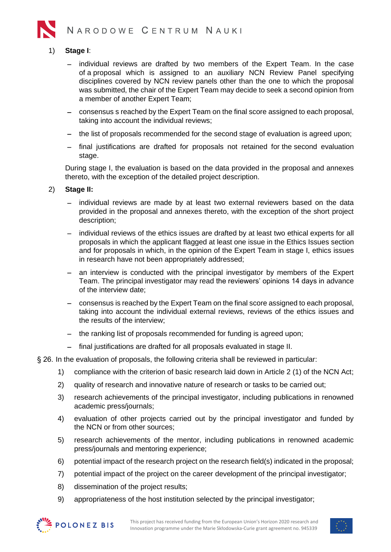

# 1) **Stage I**:

- individual reviews are drafted by two members of the Expert Team. In the case of a proposal which is assigned to an auxiliary NCN Review Panel specifying disciplines covered by NCN review panels other than the one to which the proposal was submitted, the chair of the Expert Team may decide to seek a second opinion from a member of another Expert Team;
- − consensus s reached by the Expert Team on the final score assigned to each proposal, taking into account the individual reviews;
- − the list of proposals recommended for the second stage of evaluation is agreed upon;
- − final justifications are drafted for proposals not retained for the second evaluation stage.

During stage I, the evaluation is based on the data provided in the proposal and annexes thereto, with the exception of the detailed project description.

#### 2) **Stage II:**

- − individual reviews are made by at least two external reviewers based on the data provided in the proposal and annexes thereto, with the exception of the short project description;
- individual reviews of the ethics issues are drafted by at least two ethical experts for all proposals in which the applicant flagged at least one issue in the Ethics Issues section and for proposals in which, in the opinion of the Expert Team in stage I, ethics issues in research have not been appropriately addressed;
- − an interview is conducted with the principal investigator by members of the Expert Team. The principal investigator may read the reviewers' opinions 14 days in advance of the interview date;
- − consensus is reached by the Expert Team on the final score assigned to each proposal, taking into account the individual external reviews, reviews of the ethics issues and the results of the interview;
- − the ranking list of proposals recommended for funding is agreed upon;
- − final justifications are drafted for all proposals evaluated in stage II.

§ 26. In the evaluation of proposals, the following criteria shall be reviewed in particular:

- 1) compliance with the criterion of basic research laid down in Article 2 (1) of the NCN Act;
- 2) quality of research and innovative nature of research or tasks to be carried out;
- 3) research achievements of the principal investigator, including publications in renowned academic press/journals;
- 4) evaluation of other projects carried out by the principal investigator and funded by the NCN or from other sources;
- 5) research achievements of the mentor, including publications in renowned academic press/journals and mentoring experience;
- 6) potential impact of the research project on the research field(s) indicated in the proposal;
- 7) potential impact of the project on the career development of the principal investigator;
- 8) dissemination of the project results;
- 9) appropriateness of the host institution selected by the principal investigator;



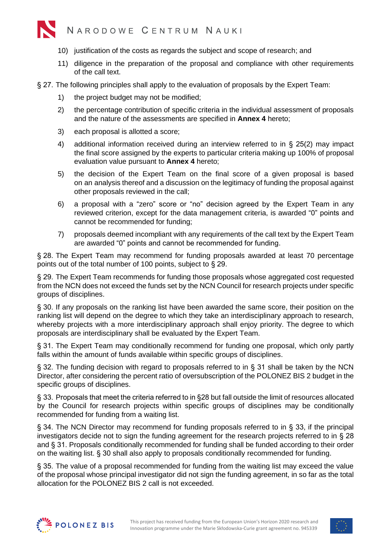

- 10) justification of the costs as regards the subject and scope of research; and
- 11) diligence in the preparation of the proposal and compliance with other requirements of the call text.
- § 27. The following principles shall apply to the evaluation of proposals by the Expert Team:
	- 1) the project budget may not be modified;
	- 2) the percentage contribution of specific criteria in the individual assessment of proposals and the nature of the assessments are specified in **Annex 4** hereto;
	- 3) each proposal is allotted a score;
	- 4) additional information received during an interview referred to in [§ 25\(](#page-7-2)2) may impact the final score assigned by the experts to particular criteria making up 100% of proposal evaluation value pursuant to **Annex 4** hereto;
	- 5) the decision of the Expert Team on the final score of a given proposal is based on an analysis thereof and a discussion on the legitimacy of funding the proposal against other proposals reviewed in the call;
	- 6) a proposal with a "zero" score or "no" decision agreed by the Expert Team in any reviewed criterion, except for the data management criteria, is awarded "0" points and cannot be recommended for funding;
	- 7) proposals deemed incompliant with any requirements of the call text by the Expert Team are awarded "0" points and cannot be recommended for funding.

<span id="page-9-3"></span>§ 28. The Expert Team may recommend for funding proposals awarded at least 70 percentage points out of the total number of 100 points, subject to [§ 29.](#page-9-0)

<span id="page-9-0"></span>§ 29. The Expert Team recommends for funding those proposals whose aggregated cost requested from the NCN does not exceed the funds set by the NCN Council for research projects under specific groups of disciplines.

<span id="page-9-4"></span>§ 30. If any proposals on the ranking list have been awarded the same score, their position on the ranking list will depend on the degree to which they take an interdisciplinary approach to research, whereby projects with a more interdisciplinary approach shall enjoy priority. The degree to which proposals are interdisciplinary shall be evaluated by the Expert Team.

<span id="page-9-1"></span>§ 31. The Expert Team may conditionally recommend for funding one proposal, which only partly falls within the amount of funds available within specific groups of disciplines.

§ 32. The funding decision with regard to proposals referred to in [§ 31](#page-9-1) shall be taken by the NCN Director, after considering the percent ratio of oversubscription of the POLONEZ BIS 2 budget in the specific groups of disciplines.

<span id="page-9-2"></span>§ 33. Proposals that meet the criteria referred to in §28 but fall outside the limit of resources allocated by the Council for research projects within specific groups of disciplines may be conditionally recommended for funding from a waiting list.

§ 34. The NCN Director may recommend for funding proposals referred to in [§ 33,](#page-9-2) if the principal investigators decide not to sign the funding agreement for the research projects referred to in [§ 28](#page-9-3) and [§ 31.](#page-9-1) Proposals conditionally recommended for funding shall be funded according to their order on the waiting list. [§ 30](#page-9-4) shall also apply to proposals conditionally recommended for funding.

§ 35. The value of a proposal recommended for funding from the waiting list may exceed the value of the proposal whose principal investigator did not sign the funding agreement, in so far as the total allocation for the POLONEZ BIS 2 call is not exceeded.



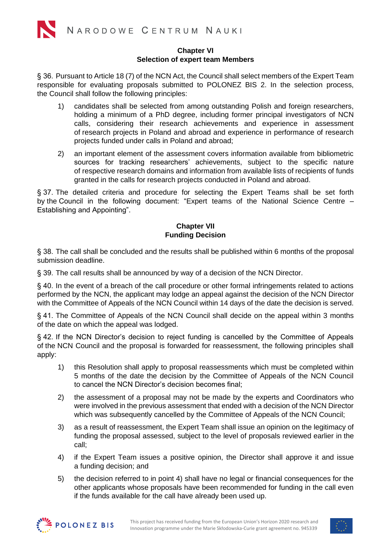#### **Chapter VI Selection of expert team Members**

§ 36. Pursuant to Article 18 (7) of the NCN Act, the Council shall select members of the Expert Team responsible for evaluating proposals submitted to POLONEZ BIS 2. In the selection process, the Council shall follow the following principles:

- 1) candidates shall be selected from among outstanding Polish and foreign researchers, holding a minimum of a PhD degree, including former principal investigators of NCN calls, considering their research achievements and experience in assessment of research projects in Poland and abroad and experience in performance of research projects funded under calls in Poland and abroad;
- 2) an important element of the assessment covers information available from bibliometric sources for tracking researchers' achievements, subject to the specific nature of respective research domains and information from available lists of recipients of funds granted in the calls for research projects conducted in Poland and abroad.

§ 37. The detailed criteria and procedure for selecting the Expert Teams shall be set forth by the Council in the following document: "Expert teams of the National Science Centre – Establishing and Appointing".

# **Chapter VII Funding Decision**

§ 38. The call shall be concluded and the results shall be published within 6 months of the proposal submission deadline.

§ 39. The call results shall be announced by way of a decision of the NCN Director.

§ 40. In the event of a breach of the call procedure or other formal infringements related to actions performed by the NCN, the applicant may lodge an appeal against the decision of the NCN Director with the Committee of Appeals of the NCN Council within 14 days of the date the decision is served.

§ 41. The Committee of Appeals of the NCN Council shall decide on the appeal within 3 months of the date on which the appeal was lodged.

§ 42. If the NCN Director's decision to reject funding is cancelled by the Committee of Appeals of the NCN Council and the proposal is forwarded for reassessment, the following principles shall apply:

- 1) this Resolution shall apply to proposal reassessments which must be completed within 5 months of the date the decision by the Committee of Appeals of the NCN Council to cancel the NCN Director's decision becomes final;
- 2) the assessment of a proposal may not be made by the experts and Coordinators who were involved in the previous assessment that ended with a decision of the NCN Director which was subsequently cancelled by the Committee of Appeals of the NCN Council;
- 3) as a result of reassessment, the Expert Team shall issue an opinion on the legitimacy of funding the proposal assessed, subject to the level of proposals reviewed earlier in the call;
- 4) if the Expert Team issues a positive opinion, the Director shall approve it and issue a funding decision; and
- 5) the decision referred to in point 4) shall have no legal or financial consequences for the other applicants whose proposals have been recommended for funding in the call even if the funds available for the call have already been used up.